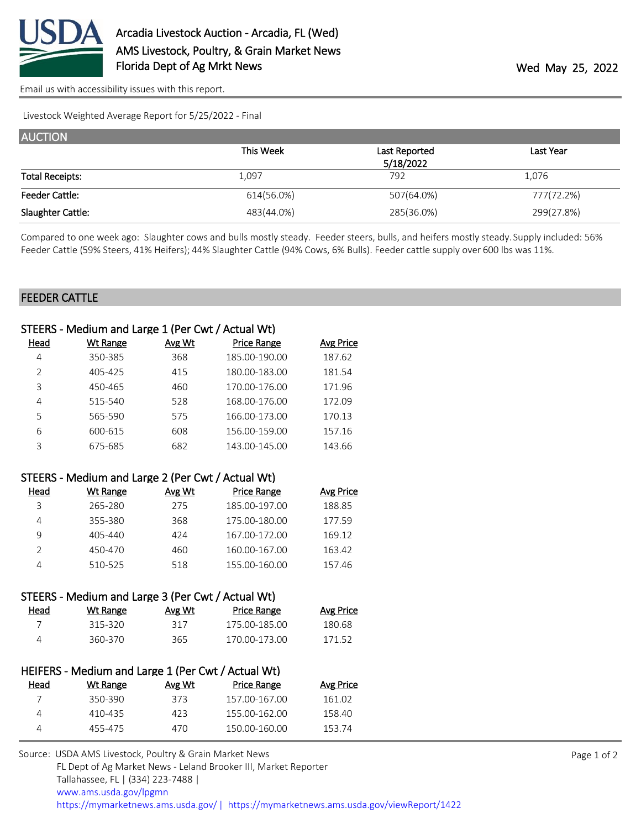

[Email us with accessibility issues with this report.](mailto:mars@ams.usda.gov?subject=508%20issue)

Livestock Weighted Average Report for 5/25/2022 - Final

| <b>AUCTION</b>         |            |               |            |
|------------------------|------------|---------------|------------|
|                        | This Week  | Last Reported | Last Year  |
|                        |            | 5/18/2022     |            |
| <b>Total Receipts:</b> | 1,097      | 792           | 1,076      |
| <b>Feeder Cattle:</b>  | 614(56.0%) | 507(64.0%)    | 777(72.2%) |
| Slaughter Cattle:      | 483(44.0%) | 285(36.0%)    | 299(27.8%) |

Compared to one week ago: Slaughter cows and bulls mostly steady. Feeder steers, bulls, and heifers mostly steady. Supply included: 56% Feeder Cattle (59% Steers, 41% Heifers); 44% Slaughter Cattle (94% Cows, 6% Bulls). Feeder cattle supply over 600 lbs was 11%.

## FEEDER CATTLE

|                | STEERS - Medium and Large 1 (Per Cwt / Actual Wt)  |        |                    |                  |
|----------------|----------------------------------------------------|--------|--------------------|------------------|
| <u>Head</u>    | <b>Wt Range</b>                                    | Avg Wt | <b>Price Range</b> | <b>Avg Price</b> |
| $\overline{4}$ | 350-385                                            | 368    | 185.00-190.00      | 187.62           |
| $\overline{2}$ | 405-425                                            | 415    | 180.00-183.00      | 181.54           |
| 3              | 450-465                                            | 460    | 170.00-176.00      | 171.96           |
| 4              | 515-540                                            | 528    | 168.00-176.00      | 172.09           |
| 5              | 565-590                                            | 575    | 166.00-173.00      | 170.13           |
| 6              | 600-615                                            | 608    | 156.00-159.00      | 157.16           |
| 3              | 675-685                                            | 682    | 143.00-145.00      | 143.66           |
|                |                                                    |        |                    |                  |
|                | STEERS - Medium and Large 2 (Per Cwt / Actual Wt)  |        |                    |                  |
| <u>Head</u>    | <b>Wt Range</b>                                    | Avg Wt | <b>Price Range</b> | <b>Avg Price</b> |
| 3              | 265-280                                            | 275    | 185.00-197.00      | 188.85           |
| 4              | 355-380                                            | 368    | 175.00-180.00      | 177.59           |
| 9              | 405-440                                            | 424    | 167.00-172.00      | 169.12           |
| $\overline{2}$ | 450-470                                            | 460    | 160.00-167.00      | 163.42           |
| 4              | 510-525                                            | 518    | 155.00-160.00      | 157.46           |
|                |                                                    |        |                    |                  |
|                | STEERS - Medium and Large 3 (Per Cwt / Actual Wt)  |        |                    |                  |
| <u>Head</u>    | <b>Wt Range</b>                                    | Avg Wt | <b>Price Range</b> | <b>Avg Price</b> |
| $\overline{7}$ | 315-320                                            | 317    | 175.00-185.00      | 180.68           |
| 4              | 360-370                                            | 365    | 170.00-173.00      | 171.52           |
|                |                                                    |        |                    |                  |
|                | HEIFERS - Medium and Large 1 (Per Cwt / Actual Wt) |        |                    |                  |
| <u>Head</u>    | <b>Wt Range</b>                                    | Avg Wt | <b>Price Range</b> | <b>Avg Price</b> |
| 7              | 350-390                                            | 373    | 157.00-167.00      | 161.02           |
| 4              | 410-435                                            | 423    | 155.00-162.00      | 158.40           |

4 455-475 470 150.00-160.00 153.74